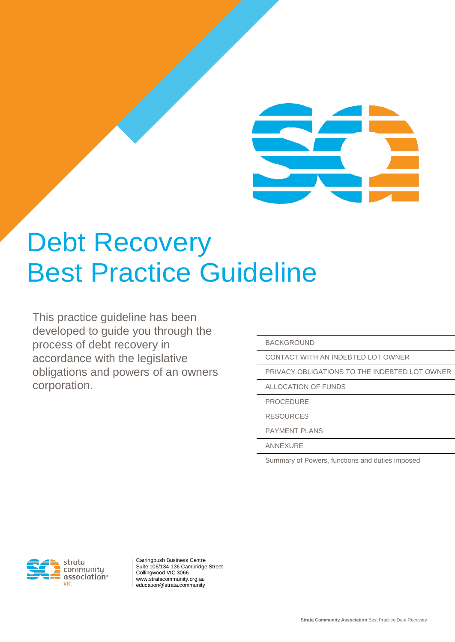## Debt Recovery Best Practice Guideline

This practice guideline has been developed to guide you through the process of debt recovery in accordance with the legislative obligations and powers of an owners corporation.

BACKGROUND

CONTACT WITH AN INDEBTED LOT OWNER

PRIVACY OBLIGATIONS TO THE INDEBTED LOT OWNER

ALLOCATION OF FUNDS

PROCEDURE

RESOURCES

PAYMENT PLANS

ANNEXURE

Summary of Powers, functions and duties imposed



Carringbush Business Centre Suite 106/134-136 Cambridge Street Collingwood VIC 3066 www.stratacommunity.org.au education@strata.community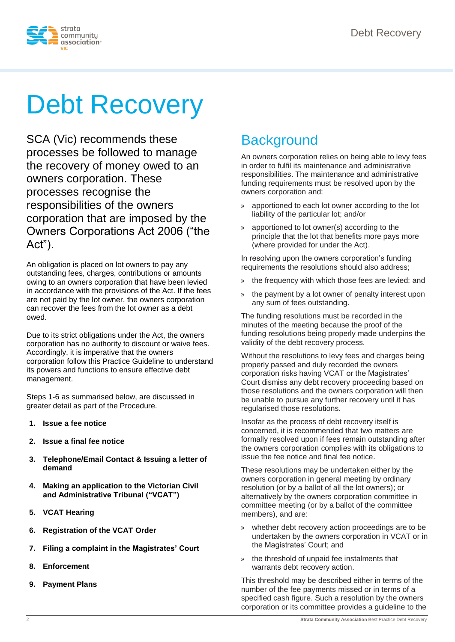

# Debt Recovery

SCA (Vic) recommends these processes be followed to manage the recovery of money owed to an owners corporation. These processes recognise the responsibilities of the owners corporation that are imposed by the Owners Corporations Act 2006 ("the Act").

An obligation is placed on lot owners to pay any outstanding fees, charges, contributions or amounts owing to an owners corporation that have been levied in accordance with the provisions of the Act. If the fees are not paid by the lot owner, the owners corporation can recover the fees from the lot owner as a debt owed.

Due to its strict obligations under the Act, the owners corporation has no authority to discount or waive fees. Accordingly, it is imperative that the owners corporation follow this Practice Guideline to understand its powers and functions to ensure effective debt management.

Steps 1-6 as summarised below, are discussed in greater detail as part of the Procedure.

- **1. Issue a fee notice**
- **2. Issue a final fee notice**
- **3. Telephone/Email Contact & Issuing a letter of demand**
- **4. Making an application to the Victorian Civil and Administrative Tribunal ("VCAT")**
- **5. VCAT Hearing**
- **6. Registration of the VCAT Order**
- **7. Filing a complaint in the Magistrates' Court**
- **8. Enforcement**
- **9. Payment Plans**

### **Background**

An owners corporation relies on being able to levy fees in order to fulfil its maintenance and administrative responsibilities. The maintenance and administrative funding requirements must be resolved upon by the owners corporation and:

- » apportioned to each lot owner according to the lot liability of the particular lot; and/or
- » apportioned to lot owner(s) according to the principle that the lot that benefits more pays more (where provided for under the Act).

In resolving upon the owners corporation's funding requirements the resolutions should also address;

- the frequency with which those fees are levied; and
- » the payment by a lot owner of penalty interest upon any sum of fees outstanding.

The funding resolutions must be recorded in the minutes of the meeting because the proof of the funding resolutions being properly made underpins the validity of the debt recovery process.

Without the resolutions to levy fees and charges being properly passed and duly recorded the owners corporation risks having VCAT or the Magistrates' Court dismiss any debt recovery proceeding based on those resolutions and the owners corporation will then be unable to pursue any further recovery until it has regularised those resolutions.

Insofar as the process of debt recovery itself is concerned, it is recommended that two matters are formally resolved upon if fees remain outstanding after the owners corporation complies with its obligations to issue the fee notice and final fee notice.

These resolutions may be undertaken either by the owners corporation in general meeting by ordinary resolution (or by a ballot of all the lot owners); or alternatively by the owners corporation committee in committee meeting (or by a ballot of the committee members), and are:

- » whether debt recovery action proceedings are to be undertaken by the owners corporation in VCAT or in the Magistrates' Court; and
- » the threshold of unpaid fee instalments that warrants debt recovery action.

This threshold may be described either in terms of the number of the fee payments missed or in terms of a specified cash figure. Such a resolution by the owners corporation or its committee provides a guideline to the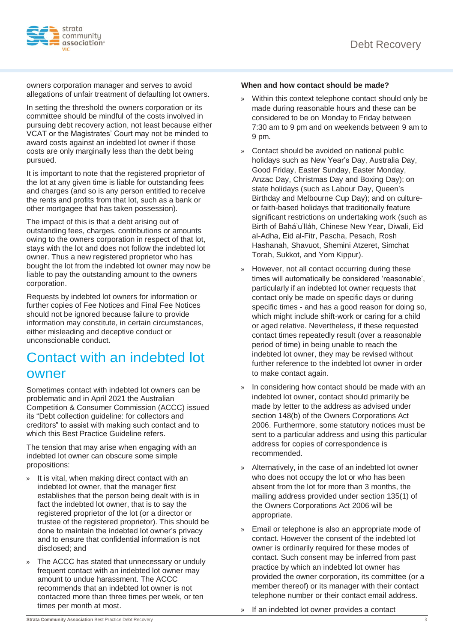

owners corporation manager and serves to avoid allegations of unfair treatment of defaulting lot owners.

In setting the threshold the owners corporation or its committee should be mindful of the costs involved in pursuing debt recovery action, not least because either VCAT or the Magistrates' Court may not be minded to award costs against an indebted lot owner if those costs are only marginally less than the debt being pursued.

It is important to note that the registered proprietor of the lot at any given time is liable for outstanding fees and charges (and so is any person entitled to receive the rents and profits from that lot, such as a bank or other mortgagee that has taken possession).

The impact of this is that a debt arising out of outstanding fees, charges, contributions or amounts owing to the owners corporation in respect of that lot, stays with the lot and does not follow the indebted lot owner. Thus a new registered proprietor who has bought the lot from the indebted lot owner may now be liable to pay the outstanding amount to the owners corporation.

Requests by indebted lot owners for information or further copies of Fee Notices and Final Fee Notices should not be ignored because failure to provide information may constitute, in certain circumstances, either misleading and deceptive conduct or unconscionable conduct.

### Contact with an indebted lot owner

Sometimes contact with indebted lot owners can be problematic and in April 2021 the Australian Competition & Consumer Commission (ACCC) issued its "Debt collection guideline: for collectors and creditors" to assist with making such contact and to which this Best Practice Guideline refers.

The tension that may arise when engaging with an indebted lot owner can obscure some simple propositions:

- » It is vital, when making direct contact with an indebted lot owner, that the manager first establishes that the person being dealt with is in fact the indebted lot owner, that is to say the registered proprietor of the lot (or a director or trustee of the registered proprietor). This should be done to maintain the indebted lot owner's privacy and to ensure that confidential information is not disclosed; and
- » The ACCC has stated that unnecessary or unduly frequent contact with an indebted lot owner may amount to undue harassment. The ACCC recommends that an indebted lot owner is not contacted more than three times per week, or ten times per month at most.

#### **When and how contact should be made?**

- » Within this context telephone contact should only be made during reasonable hours and these can be considered to be on Monday to Friday between 7:30 am to 9 pm and on weekends between 9 am to 9 pm.
- » Contact should be avoided on national public holidays such as New Year's Day, Australia Day, Good Friday, Easter Sunday, Easter Monday, Anzac Day, Christmas Day and Boxing Day); on state holidays (such as Labour Day, Queen's Birthday and Melbourne Cup Day); and on cultureor faith-based holidays that traditionally feature significant restrictions on undertaking work (such as Birth of Bahá'u'lláh, Chinese New Year, Diwali, Eid al-Adha, Eid al-Fitr, Pascha, Pesach, Rosh Hashanah, Shavuot, Shemini Atzeret, Simchat Torah, Sukkot, and Yom Kippur).
- However, not all contact occurring during these times will automatically be considered 'reasonable', particularly if an indebted lot owner requests that contact only be made on specific days or during specific times - and has a good reason for doing so, which might include shift-work or caring for a child or aged relative. Nevertheless, if these requested contact times repeatedly result (over a reasonable period of time) in being unable to reach the indebted lot owner, they may be revised without further reference to the indebted lot owner in order to make contact again.
- In considering how contact should be made with an indebted lot owner, contact should primarily be made by letter to the address as advised under section 148(b) of the Owners Corporations Act 2006. Furthermore, some statutory notices must be sent to a particular address and using this particular address for copies of correspondence is recommended.
- » Alternatively, in the case of an indebted lot owner who does not occupy the lot or who has been absent from the lot for more than 3 months, the mailing address provided under section 135(1) of the Owners Corporations Act 2006 will be appropriate.
- Email or telephone is also an appropriate mode of contact. However the consent of the indebted lot owner is ordinarily required for these modes of contact. Such consent may be inferred from past practice by which an indebted lot owner has provided the owner corporation, its committee (or a member thereof) or its manager with their contact telephone number or their contact email address.
- » If an indebted lot owner provides a contact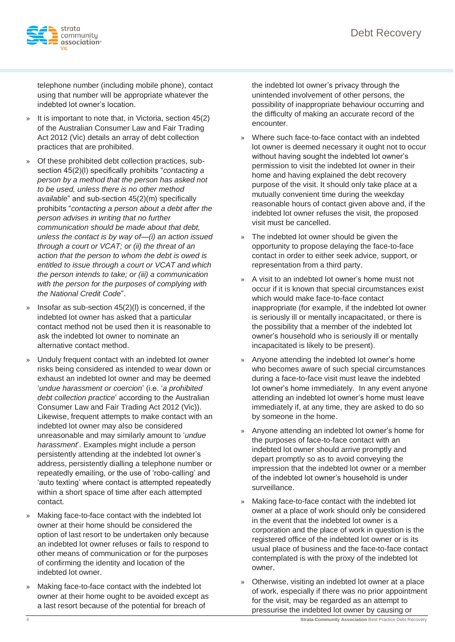

telephone number (including mobile phone), contact using that number will be appropriate whatever the indebted lot owner's location.

- It is important to note that, in Victoria, section 45(2) of the Australian Consumer Law and Fair Trading Act 2012 (Vic) details an array of debt collection practices that are prohibited.
- » Of these prohibited debt collection practices, subsection 45(2)(l) specifically prohibits "*contacting a person by a method that the person has asked not to be used, unless there is no other method available*" and sub-section 45(2)(m) specifically prohibits "*contacting a person about a debt after the person advises in writing that no further communication should be made about that debt, unless the contact is by way of—(i) an action issued through a court or VCAT; or (ii) the threat of an action that the person to whom the debt is owed is entitled to issue through a court or VCAT and which the person intends to take; or (iii) a communication with the person for the purposes of complying with the National Credit Code*".
- Insofar as sub-section  $45(2)(1)$  is concerned, if the indebted lot owner has asked that a particular contact method not be used then it is reasonable to ask the indebted lot owner to nominate an alternative contact method.
- » Unduly frequent contact with an indebted lot owner risks being considered as intended to wear down or exhaust an indebted lot owner and may be deemed '*undue harassment or coercion*' (i.e. '*a prohibited debt collection practice*' according to the Australian Consumer Law and Fair Trading Act 2012 (Vic)). Likewise, frequent attempts to make contact with an indebted lot owner may also be considered unreasonable and may similarly amount to '*undue harassment*'. Examples might include a person persistently attending at the indebted lot owner's address, persistently dialling a telephone number or repeatedly emailing, or the use of 'robo-calling' and 'auto texting' where contact is attempted repeatedly within a short space of time after each attempted contact.
- » Making face-to-face contact with the indebted lot owner at their home should be considered the option of last resort to be undertaken only because an indebted lot owner refuses or fails to respond to other means of communication or for the purposes of confirming the identity and location of the indebted lot owner.
- » Making face-to-face contact with the indebted lot owner at their home ought to be avoided except as a last resort because of the potential for breach of

the indebted lot owner's privacy through the unintended involvement of other persons, the possibility of inappropriate behaviour occurring and the difficulty of making an accurate record of the encounter.

- » Where such face-to-face contact with an indebted lot owner is deemed necessary it ought not to occur without having sought the indebted lot owner's permission to visit the indebted lot owner in their home and having explained the debt recovery purpose of the visit. It should only take place at a mutually convenient time during the weekday reasonable hours of contact given above and, if the indebted lot owner refuses the visit, the proposed visit must be cancelled.
- » The indebted lot owner should be given the opportunity to propose delaying the face-to-face contact in order to either seek advice, support, or representation from a third party.
- » A visit to an indebted lot owner's home must not occur if it is known that special circumstances exist which would make face-to-face contact inappropriate (for example, if the indebted lot owner is seriously ill or mentally incapacitated, or there is the possibility that a member of the indebted lot owner's household who is seriously ill or mentally incapacitated is likely to be present).
- » Anyone attending the indebted lot owner's home who becomes aware of such special circumstances during a face-to-face visit must leave the indebted lot owner's home immediately. In any event anyone attending an indebted lot owner's home must leave immediately if, at any time, they are asked to do so by someone in the home.
- » Anyone attending an indebted lot owner's home for the purposes of face-to-face contact with an indebted lot owner should arrive promptly and depart promptly so as to avoid conveying the impression that the indebted lot owner or a member of the indebted lot owner's household is under surveillance.
- » Making face-to-face contact with the indebted lot owner at a place of work should only be considered in the event that the indebted lot owner is a corporation and the place of work in question is the registered office of the indebted lot owner or is its usual place of business and the face-to-face contact contemplated is with the proxy of the indebted lot owner.
- » Otherwise, visiting an indebted lot owner at a place of work, especially if there was no prior appointment for the visit, may be regarded as an attempt to pressurise the indebted lot owner by causing or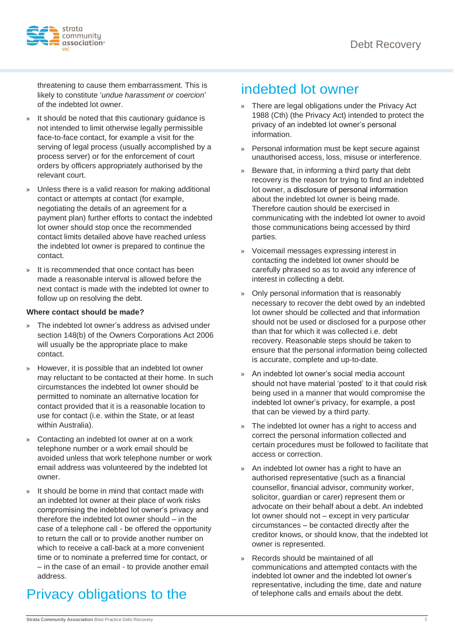

threatening to cause them embarrassment. This is likely to constitute '*undue harassment or coercion*' of the indebted lot owner.

- It should be noted that this cautionary guidance is not intended to limit otherwise legally permissible face-to-face contact, for example a visit for the serving of legal process (usually accomplished by a process server) or for the enforcement of court orders by officers appropriately authorised by the relevant court.
- » Unless there is a valid reason for making additional contact or attempts at contact (for example, negotiating the details of an agreement for a payment plan) further efforts to contact the indebted lot owner should stop once the recommended contact limits detailed above have reached unless the indebted lot owner is prepared to continue the contact.
- » It is recommended that once contact has been made a reasonable interval is allowed before the next contact is made with the indebted lot owner to follow up on resolving the debt.

#### **Where contact should be made?**

- » The indebted lot owner's address as advised under section 148(b) of the Owners Corporations Act 2006 will usually be the appropriate place to make contact.
- » However, it is possible that an indebted lot owner may reluctant to be contacted at their home. In such circumstances the indebted lot owner should be permitted to nominate an alternative location for contact provided that it is a reasonable location to use for contact (i.e. within the State, or at least within Australia).
- » Contacting an indebted lot owner at on a work telephone number or a work email should be avoided unless that work telephone number or work email address was volunteered by the indebted lot owner.
- » It should be borne in mind that contact made with an indebted lot owner at their place of work risks compromising the indebted lot owner's privacy and therefore the indebted lot owner should – in the case of a telephone call - be offered the opportunity to return the call or to provide another number on which to receive a call-back at a more convenient time or to nominate a preferred time for contact, or – in the case of an email - to provide another email address.

### Privacy obligations to the

### indebted lot owner

- » There are legal obligations under the Privacy Act 1988 (Cth) (the Privacy Act) intended to protect the privacy of an indebted lot owner's personal information.
- » Personal information must be kept secure against unauthorised access, loss, misuse or interference.
- » Beware that, in informing a third party that debt recovery is the reason for trying to find an indebted lot owner, a disclosure of personal information about the indebted lot owner is being made. Therefore caution should be exercised in communicating with the indebted lot owner to avoid those communications being accessed by third parties.
- » Voicemail messages expressing interest in contacting the indebted lot owner should be carefully phrased so as to avoid any inference of interest in collecting a debt.
- » Only personal information that is reasonably necessary to recover the debt owed by an indebted lot owner should be collected and that information should not be used or disclosed for a purpose other than that for which it was collected i.e. debt recovery. Reasonable steps should be taken to ensure that the personal information being collected is accurate, complete and up-to-date.
- » An indebted lot owner's social media account should not have material 'posted' to it that could risk being used in a manner that would compromise the indebted lot owner's privacy, for example, a post that can be viewed by a third party.
- The indebted lot owner has a right to access and correct the personal information collected and certain procedures must be followed to facilitate that access or correction.
- » An indebted lot owner has a right to have an authorised representative (such as a financial counsellor, financial advisor, community worker, solicitor, guardian or carer) represent them or advocate on their behalf about a debt. An indebted lot owner should not – except in very particular circumstances – be contacted directly after the creditor knows, or should know, that the indebted lot owner is represented.
- » Records should be maintained of all communications and attempted contacts with the indebted lot owner and the indebted lot owner's representative, including the time, date and nature of telephone calls and emails about the debt.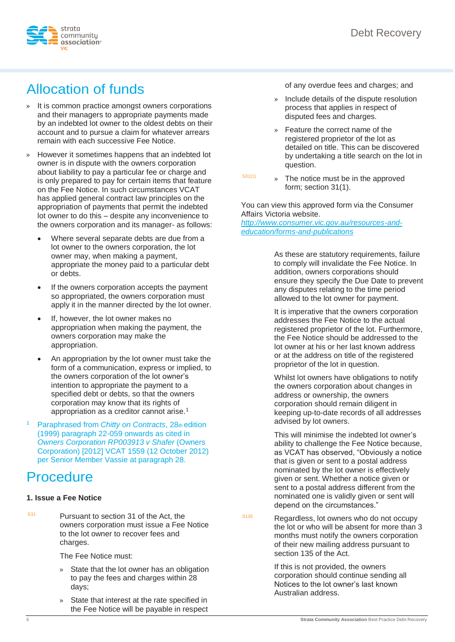

## Allocation of funds

- » It is common practice amongst owners corporations and their managers to appropriate payments made by an indebted lot owner to the oldest debts on their account and to pursue a claim for whatever arrears remain with each successive Fee Notice.
- » However it sometimes happens that an indebted lot owner is in dispute with the owners corporation about liability to pay a particular fee or charge and is only prepared to pay for certain items that feature on the Fee Notice. In such circumstances VCAT has applied general contract law principles on the appropriation of payments that permit the indebted lot owner to do this – despite any inconvenience to the owners corporation and its manager- as follows:
	- Where several separate debts are due from a lot owner to the owners corporation, the lot owner may, when making a payment, appropriate the money paid to a particular debt or debts.
	- If the owners corporation accepts the payment so appropriated, the owners corporation must apply it in the manner directed by the lot owner.
	- If, however, the lot owner makes no appropriation when making the payment, the owners corporation may make the appropriation.
	- An appropriation by the lot owner must take the form of a communication, express or implied, to the owners corporation of the lot owner's intention to appropriate the payment to a specified debt or debts, so that the owners corporation may know that its rights of appropriation as a creditor cannot arise.<sup>1</sup>
- <sup>1</sup>Paraphrased from *Chitty on Contracts*, 28th edition (1999) paragraph 22-059 onwards as cited in *Owners Corporation RP003913 v Shafer* (Owners Corporation) [2012] VCAT 1559 (12 October 2012) per Senior Member Vassie at paragraph 28.

### **Procedure**

### **1. Issue a Fee Notice**

 $S<sup>31</sup>$  Pursuant to section 31 of the Act, the owners corporation must issue a Fee Notice to the lot owner to recover fees and charges.

The Fee Notice must:

- » State that the lot owner has an obligation to pay the fees and charges within 28 days;
- » State that interest at the rate specified in the Fee Notice will be payable in respect

of any overdue fees and charges; and

- » Include details of the dispute resolution process that applies in respect of disputed fees and charges.
- » Feature the correct name of the registered proprietor of the lot as detailed on title. This can be discovered by undertaking a title search on the lot in question.
- $S31(1)$  » The notice must be in the approved form; section 31(1).

You can view this approved form via the Consumer Affairs Victoria website.

*[http://www.consumer.vic.gov.au/resources-and](http://www.consumer.vic.gov.au/resources-and-education/forms-and-publications)[education/forms-and-publications](http://www.consumer.vic.gov.au/resources-and-education/forms-and-publications)*

> As these are statutory requirements, failure to comply will invalidate the Fee Notice. In addition, owners corporations should ensure they specify the Due Date to prevent any disputes relating to the time period allowed to the lot owner for payment.

> It is imperative that the owners corporation addresses the Fee Notice to the actual registered proprietor of the lot. Furthermore, the Fee Notice should be addressed to the lot owner at his or her last known address or at the address on title of the registered proprietor of the lot in question.

> Whilst lot owners have obligations to notify the owners corporation about changes in address or ownership, the owners corporation should remain diligent in keeping up-to-date records of all addresses advised by lot owners.

> This will minimise the indebted lot owner's ability to challenge the Fee Notice because, as VCAT has observed, "Obviously a notice that is given or sent to a postal address nominated by the lot owner is effectively given or sent. Whether a notice given or sent to a postal address different from the nominated one is validly given or sent will depend on the circumstances."

S135 Regardless, lot owners who do not occupy the lot or who will be absent for more than 3 months must notify the owners corporation of their new mailing address pursuant to section 135 of the Act.

> If this is not provided, the owners corporation should continue sending all Notices to the lot owner's last known Australian address.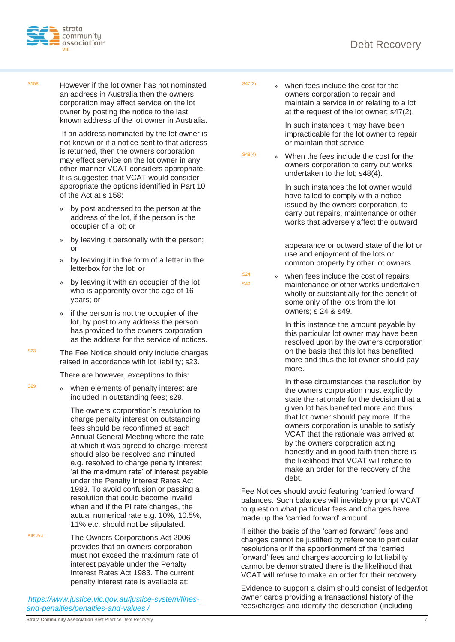

S158 However if the lot owner has not nominated an address in Australia then the owners corporation may effect service on the lot owner by posting the notice to the last known address of the lot owner in Australia.

> If an address nominated by the lot owner is not known or if a notice sent to that address is returned, then the owners corporation may effect service on the lot owner in any other manner VCAT considers appropriate. It is suggested that VCAT would consider appropriate the options identified in Part 10 of the Act at s 158:

- » by post addressed to the person at the address of the lot, if the person is the occupier of a lot; or
- » by leaving it personally with the person; or
- » by leaving it in the form of a letter in the letterbox for the lot; or
- by leaving it with an occupier of the lot who is apparently over the age of 16 years; or
- » if the person is not the occupier of the lot, by post to any address the person has provided to the owners corporation as the address for the service of notices.
- $S<sup>23</sup>$  The Fee Notice should only include charges raised in accordance with lot liability; s23.

There are however, exceptions to this:

 $s<sub>29</sub>$  » when elements of penalty interest are included in outstanding fees; s29.

> The owners corporation's resolution to charge penalty interest on outstanding fees should be reconfirmed at each Annual General Meeting where the rate at which it was agreed to charge interest should also be resolved and minuted e.g. resolved to charge penalty interest 'at the maximum rate' of interest payable under the Penalty Interest Rates Act 1983. To avoid confusion or passing a resolution that could become invalid when and if the PI rate changes, the actual numerical rate e.g. 10%, 10.5%, 11% etc. should not be stipulated.

PIR Act The Owners Corporations Act 2006 provides that an owners corporation must not exceed the maximum rate of interest payable under the Penalty Interest Rates Act 1983. The current penalty interest rate is available at:

*[https://www.justice.vic.gov.au/justice-system/fines](http://www.justice.vic.gov.au/home/justice+system/fines+and+penalties/penalties+and+values/)[and-penalties/penalties-and-values](http://www.justice.vic.gov.au/home/justice+system/fines+and+penalties/penalties+and+values/) /*

 $S<sup>47(2)</sup>$  » when fees include the cost for the owners corporation to repair and maintain a service in or relating to a lot at the request of the lot owner; s47(2).

> In such instances it may have been impracticable for the lot owner to repair or maintain that service.

- 
- $S48(4)$  » When the fees include the cost for the owners corporation to carry out works undertaken to the lot; s48(4).

In such instances the lot owner would have failed to comply with a notice issued by the owners corporation, to carry out repairs, maintenance or other works that adversely affect the outward

appearance or outward state of the lot or use and enjoyment of the lots or common property by other lot owners.

- $SO<sub>A</sub>$ S<sub>49</sub>
- » when fees include the cost of repairs, maintenance or other works undertaken wholly or substantially for the benefit of some only of the lots from the lot owners; s 24 & s49.

In this instance the amount payable by this particular lot owner may have been resolved upon by the owners corporation on the basis that this lot has benefited more and thus the lot owner should pay more.

In these circumstances the resolution by the owners corporation must explicitly state the rationale for the decision that a given lot has benefited more and thus that lot owner should pay more. If the owners corporation is unable to satisfy VCAT that the rationale was arrived at by the owners corporation acting honestly and in good faith then there is the likelihood that VCAT will refuse to make an order for the recovery of the debt.

Fee Notices should avoid featuring 'carried forward' balances. Such balances will inevitably prompt VCAT to question what particular fees and charges have made up the 'carried forward' amount.

If either the basis of the 'carried forward' fees and charges cannot be justified by reference to particular resolutions or if the apportionment of the 'carried forward' fees and charges according to lot liability cannot be demonstrated there is the likelihood that VCAT will refuse to make an order for their recovery.

Evidence to support a claim should consist of ledger/lot owner cards providing a transactional history of the fees/charges and identify the description (including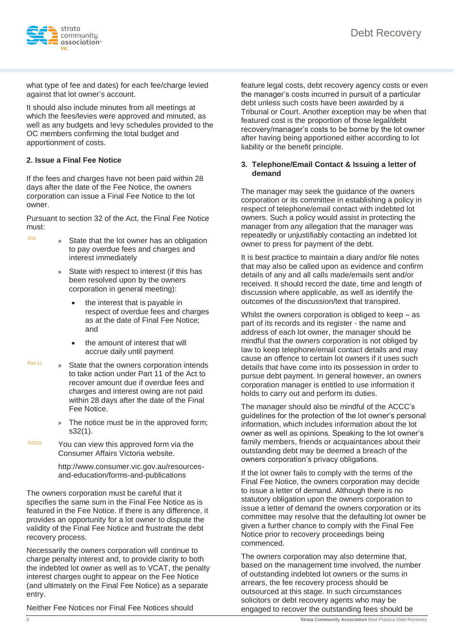

what type of fee and dates) for each fee/charge levied against that lot owner's account.

It should also include minutes from all meetings at which the fees/levies were approved and minuted, as well as any budgets and levy schedules provided to the OC members confirming the total budget and apportionment of costs.

#### **2. Issue a Final Fee Notice**

If the fees and charges have not been paid within 28 days after the date of the Fee Notice, the owners corporation can issue a Final Fee Notice to the lot owner.

Pursuant to section 32 of the Act, the Final Fee Notice must:

- $s<sup>332</sup>$  » State that the lot owner has an obligation to pay overdue fees and charges and interest immediately
	- » State with respect to interest (if this has been resolved upon by the owners corporation in general meeting):
		- the interest that is payable in respect of overdue fees and charges as at the date of Final Fee Notice; and
		- the amount of interest that will accrue daily until payment
- Part 11 » State that the owners corporation intends to take action under Part 11 of the Act to recover amount due if overdue fees and charges and interest owing are not paid within 28 days after the date of the Final Fee Notice.
	- » The notice must be in the approved form; s32(1).
- $S<sup>332(1)</sup>$  You can view this approved form via the Consumer Affairs Victoria website.

http://www.consumer.vic.gov.au/resourcesand-education/forms-and-publications

The owners corporation must be careful that it specifies the same sum in the Final Fee Notice as is featured in the Fee Notice. If there is any difference, it provides an opportunity for a lot owner to dispute the validity of the Final Fee Notice and frustrate the debt recovery process.

Necessarily the owners corporation will continue to charge penalty interest and, to provide clarity to both the indebted lot owner as well as to VCAT, the penalty interest charges ought to appear on the Fee Notice (and ultimately on the Final Fee Notice) as a separate entry.

Neither Fee Notices nor Final Fee Notices should

feature legal costs, debt recovery agency costs or even the manager's costs incurred in pursuit of a particular debt unless such costs have been awarded by a Tribunal or Court. Another exception may be when that featured cost is the proportion of those legal/debt recovery/manager's costs to be borne by the lot owner after having being apportioned either according to lot liability or the benefit principle.

#### **3. Telephone/Email Contact & Issuing a letter of demand**

The manager may seek the guidance of the owners corporation or its committee in establishing a policy in respect of telephone/email contact with indebted lot owners. Such a policy would assist in protecting the manager from any allegation that the manager was repeatedly or unjustifiably contacting an indebted lot owner to press for payment of the debt.

It is best practice to maintain a diary and/or file notes that may also be called upon as evidence and confirm details of any and all calls made/emails sent and/or received. It should record the date, time and length of discussion where applicable, as well as identify the outcomes of the discussion/text that transpired.

Whilst the owners corporation is obliged to keep – as part of its records and its register - the name and address of each lot owner, the manager should be mindful that the owners corporation is not obliged by law to keep telephone/email contact details and may cause an offence to certain lot owners if it uses such details that have come into its possession in order to pursue debt payment. In general however, an owners corporation manager is entitled to use information it holds to carry out and perform its duties.

The manager should also be mindful of the ACCC's guidelines for the protection of the lot owner's personal information, which includes information about the lot owner as well as opinions. Speaking to the lot owner's family members, friends or acquaintances about their outstanding debt may be deemed a breach of the owners corporation's privacy obligations.

If the lot owner fails to comply with the terms of the Final Fee Notice, the owners corporation may decide to issue a letter of demand. Although there is no statutory obligation upon the owners corporation to issue a letter of demand the owners corporation or its committee may resolve that the defaulting lot owner be given a further chance to comply with the Final Fee Notice prior to recovery proceedings being commenced.

The owners corporation may also determine that, based on the management time involved, the number of outstanding indebted lot owners or the sums in arrears, the fee recovery process should be outsourced at this stage. In such circumstances solicitors or debt recovery agents who may be engaged to recover the outstanding fees should be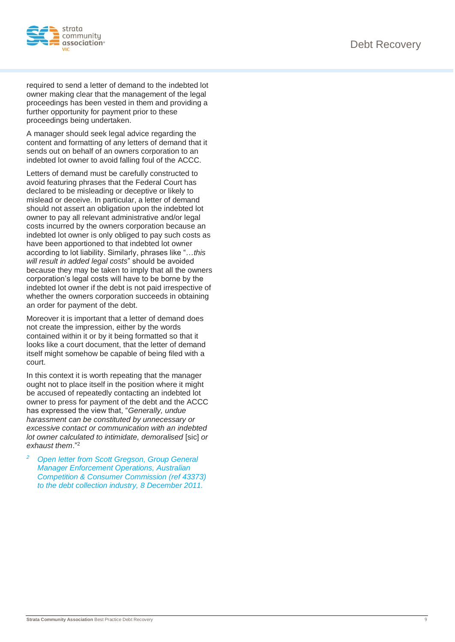

required to send a letter of demand to the indebted lot owner making clear that the management of the legal proceedings has been vested in them and providing a further opportunity for payment prior to these proceedings being undertaken.

A manager should seek legal advice regarding the content and formatting of any letters of demand that it sends out on behalf of an owners corporation to an indebted lot owner to avoid falling foul of the ACCC.

Letters of demand must be carefully constructed to avoid featuring phrases that the Federal Court has declared to be misleading or deceptive or likely to mislead or deceive. In particular, a letter of demand should not assert an obligation upon the indebted lot owner to pay all relevant administrative and/or legal costs incurred by the owners corporation because an indebted lot owner is only obliged to pay such costs as have been apportioned to that indebted lot owner according to lot liability. Similarly, phrases like "…*this will result in added legal costs*" should be avoided because they may be taken to imply that all the owners corporation's legal costs will have to be borne by the indebted lot owner if the debt is not paid irrespective of whether the owners corporation succeeds in obtaining an order for payment of the debt.

Moreover it is important that a letter of demand does not create the impression, either by the words contained within it or by it being formatted so that it looks like a court document, that the letter of demand itself might somehow be capable of being filed with a court.

In this context it is worth repeating that the manager ought not to place itself in the position where it might be accused of repeatedly contacting an indebted lot owner to press for payment of the debt and the ACCC has expressed the view that, "*Generally, undue harassment can be constituted by unnecessary or excessive contact or communication with an indebted lot owner calculated to intimidate, demoralised* [sic] *or exhaust them*."<sup>2</sup>

*<sup>2</sup> Open letter from Scott Gregson, Group General Manager Enforcement Operations, Australian Competition & Consumer Commission (ref 43373) to the debt collection industry, 8 December 2011.*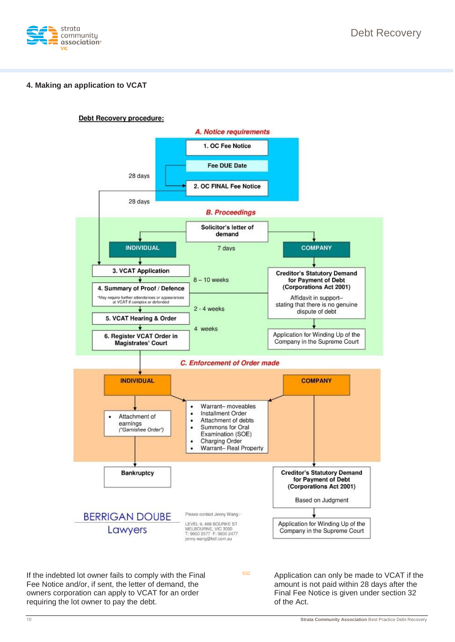

#### **4. Making an application to VCAT**



If the indebted lot owner fails to comply with the Final Fee Notice and/or, if sent, the letter of demand, the owners corporation can apply to VCAT for an order requiring the lot owner to pay the debt.

 $S<sup>332</sup>$  Application can only be made to VCAT if the amount is not paid within 28 days after the Final Fee Notice is given under section 32 of the Act.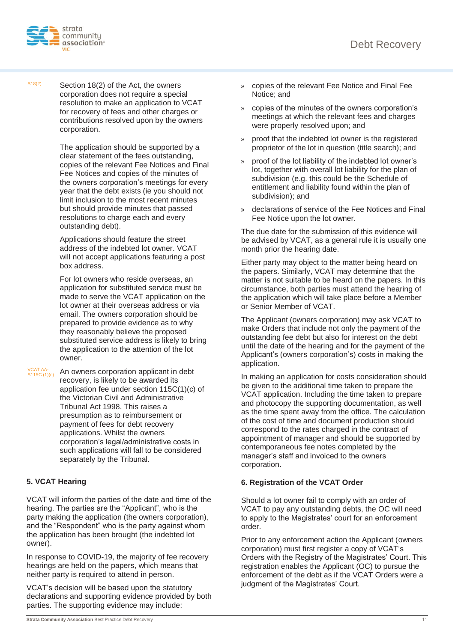

 $S18(2)$  Section 18(2) of the Act, the owners corporation does not require a special resolution to make an application to VCAT for recovery of fees and other charges or contributions resolved upon by the owners corporation.

> The application should be supported by a clear statement of the fees outstanding, copies of the relevant Fee Notices and Final Fee Notices and copies of the minutes of the owners corporation's meetings for every year that the debt exists (ie you should not limit inclusion to the most recent minutes but should provide minutes that passed resolutions to charge each and every outstanding debt).

Applications should feature the street address of the indebted lot owner. VCAT will not accept applications featuring a post box address.

For lot owners who reside overseas, an application for substituted service must be made to serve the VCAT application on the lot owner at their overseas address or via email. The owners corporation should be prepared to provide evidence as to why they reasonably believe the proposed substituted service address is likely to bring the application to the attention of the lot owner.

VCAT AA-<br>S115C (1)(c) An owners corporation applicant in debt recovery, is likely to be awarded its application fee under section 115C(1)(c) of the Victorian Civil and Administrative Tribunal Act 1998. This raises a presumption as to reimbursement or payment of fees for debt recovery applications. Whilst the owners corporation's legal/administrative costs in such applications will fall to be considered separately by the Tribunal.

### **5. VCAT Hearing**

VCAT will inform the parties of the date and time of the hearing. The parties are the "Applicant", who is the party making the application (the owners corporation), and the "Respondent" who is the party against whom the application has been brought (the indebted lot owner).

In response to COVID-19, the majority of fee recovery hearings are held on the papers, which means that neither party is required to attend in person.

VCAT's decision will be based upon the statutory declarations and supporting evidence provided by both parties. The supporting evidence may include:

- » copies of the relevant Fee Notice and Final Fee Notice; and
- » copies of the minutes of the owners corporation's meetings at which the relevant fees and charges were properly resolved upon; and
- » proof that the indebted lot owner is the registered proprietor of the lot in question (title search); and
- » proof of the lot liability of the indebted lot owner's lot, together with overall lot liability for the plan of subdivision (e.g. this could be the Schedule of entitlement and liability found within the plan of subdivision); and
- » declarations of service of the Fee Notices and Final Fee Notice upon the lot owner.

The due date for the submission of this evidence will be advised by VCAT, as a general rule it is usually one month prior the hearing date.

Either party may object to the matter being heard on the papers. Similarly, VCAT may determine that the matter is not suitable to be heard on the papers. In this circumstance, both parties must attend the hearing of the application which will take place before a Member or Senior Member of VCAT.

The Applicant (owners corporation) may ask VCAT to make Orders that include not only the payment of the outstanding fee debt but also for interest on the debt until the date of the hearing and for the payment of the Applicant's (owners corporation's) costs in making the application.

In making an application for costs consideration should be given to the additional time taken to prepare the VCAT application. Including the time taken to prepare and photocopy the supporting documentation, as well as the time spent away from the office. The calculation of the cost of time and document production should correspond to the rates charged in the contract of appointment of manager and should be supported by contemporaneous fee notes completed by the manager's staff and invoiced to the owners corporation.

#### **6. Registration of the VCAT Order**

Should a lot owner fail to comply with an order of VCAT to pay any outstanding debts, the OC will need to apply to the Magistrates' court for an enforcement order.

Prior to any enforcement action the Applicant (owners corporation) must first register a copy of VCAT's Orders with the Registry of the Magistrates' Court. This registration enables the Applicant (OC) to pursue the enforcement of the debt as if the VCAT Orders were a judgment of the Magistrates' Court.

**Strata Community Association** Best Practice Debt Recovery 11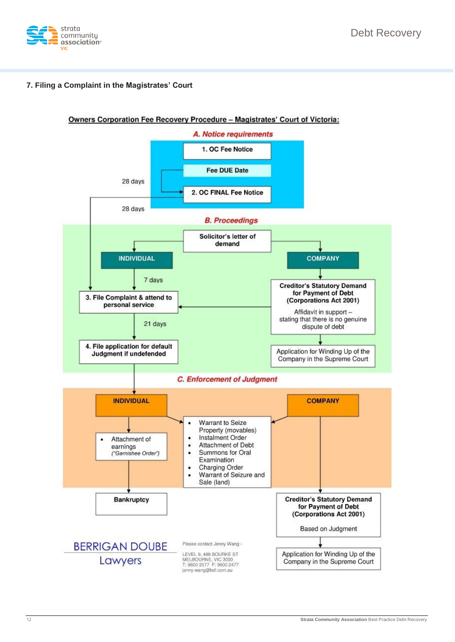

#### **7. Filing a Complaint in the Magistrates' Court**

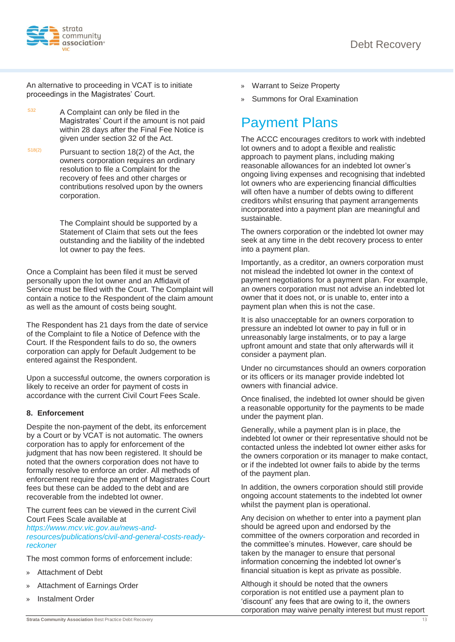

An alternative to proceeding in VCAT is to initiate proceedings in the Magistrates' Court.

 $S<sup>32</sup>$  A Complaint can only be filed in the Magistrates' Court if the amount is not paid within 28 days after the Final Fee Notice is given under section 32 of the Act.

 $S18(2)$  Pursuant to section 18(2) of the Act, the owners corporation requires an ordinary resolution to file a Complaint for the recovery of fees and other charges or contributions resolved upon by the owners corporation.

> The Complaint should be supported by a Statement of Claim that sets out the fees outstanding and the liability of the indebted lot owner to pay the fees.

Once a Complaint has been filed it must be served personally upon the lot owner and an Affidavit of Service must be filed with the Court. The Complaint will contain a notice to the Respondent of the claim amount as well as the amount of costs being sought.

The Respondent has 21 days from the date of service of the Complaint to file a Notice of Defence with the Court. If the Respondent fails to do so, the owners corporation can apply for Default Judgement to be entered against the Respondent.

Upon a successful outcome, the owners corporation is likely to receive an order for payment of costs in accordance with the current Civil Court Fees Scale.

### **8. Enforcement**

Despite the non-payment of the debt, its enforcement by a Court or by VCAT is not automatic. The owners corporation has to apply for enforcement of the judgment that has now been registered. It should be noted that the owners corporation does not have to formally resolve to enforce an order. All methods of enforcement require the payment of Magistrates Court fees but these can be added to the debt and are recoverable from the indebted lot owner.

The current fees can be viewed in the current Civil Court Fees Scale available at

*https://www.mcv.vic.gov.au/news-andresources/publications/civil-and-general-costs-readyreckoner*

The most common forms of enforcement include:

- » Attachment of Debt
- » Attachment of Earnings Order
- » Instalment Order
- » Warrant to Seize Property
- » Summons for Oral Examination

### Payment Plans

The ACCC encourages creditors to work with indebted lot owners and to adopt a flexible and realistic approach to payment plans, including making reasonable allowances for an indebted lot owner's ongoing living expenses and recognising that indebted lot owners who are experiencing financial difficulties will often have a number of debts owing to different creditors whilst ensuring that payment arrangements incorporated into a payment plan are meaningful and sustainable.

The owners corporation or the indebted lot owner may seek at any time in the debt recovery process to enter into a payment plan.

Importantly, as a creditor, an owners corporation must not mislead the indebted lot owner in the context of payment negotiations for a payment plan. For example, an owners corporation must not advise an indebted lot owner that it does not, or is unable to, enter into a payment plan when this is not the case.

It is also unacceptable for an owners corporation to pressure an indebted lot owner to pay in full or in unreasonably large instalments, or to pay a large upfront amount and state that only afterwards will it consider a payment plan.

Under no circumstances should an owners corporation or its officers or its manager provide indebted lot owners with financial advice.

Once finalised, the indebted lot owner should be given a reasonable opportunity for the payments to be made under the payment plan.

Generally, while a payment plan is in place, the indebted lot owner or their representative should not be contacted unless the indebted lot owner either asks for the owners corporation or its manager to make contact, or if the indebted lot owner fails to abide by the terms of the payment plan.

In addition, the owners corporation should still provide ongoing account statements to the indebted lot owner whilst the payment plan is operational.

Any decision on whether to enter into a payment plan should be agreed upon and endorsed by the committee of the owners corporation and recorded in the committee's minutes. However, care should be taken by the manager to ensure that personal information concerning the indebted lot owner's financial situation is kept as private as possible.

Although it should be noted that the owners corporation is not entitled use a payment plan to 'discount' any fees that are owing to it, the owners corporation may waive penalty interest but must report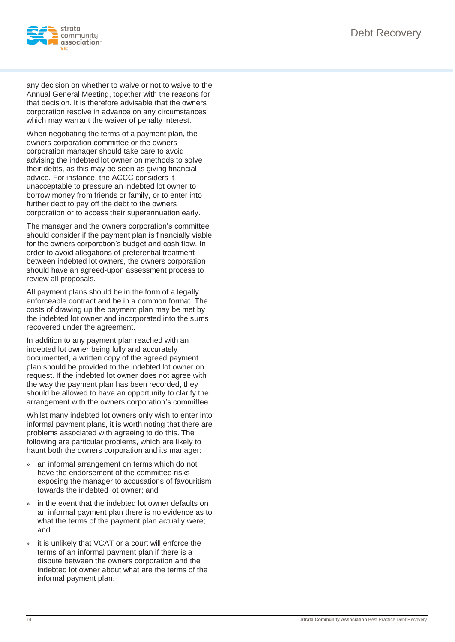

any decision on whether to waive or not to waive to the Annual General Meeting, together with the reasons for that decision. It is therefore advisable that the owners corporation resolve in advance on any circumstances which may warrant the waiver of penalty interest.

When negotiating the terms of a payment plan, the owners corporation committee or the owners corporation manager should take care to avoid advising the indebted lot owner on methods to solve their debts, as this may be seen as giving financial advice. For instance, the ACCC considers it unacceptable to pressure an indebted lot owner to borrow money from friends or family, or to enter into further debt to pay off the debt to the owners corporation or to access their superannuation early.

The manager and the owners corporation's committee should consider if the payment plan is financially viable for the owners corporation's budget and cash flow. In order to avoid allegations of preferential treatment between indebted lot owners, the owners corporation should have an agreed-upon assessment process to review all proposals.

All payment plans should be in the form of a legally enforceable contract and be in a common format. The costs of drawing up the payment plan may be met by the indebted lot owner and incorporated into the sums recovered under the agreement.

In addition to any payment plan reached with an indebted lot owner being fully and accurately documented, a written copy of the agreed payment plan should be provided to the indebted lot owner on request. If the indebted lot owner does not agree with the way the payment plan has been recorded, they should be allowed to have an opportunity to clarify the arrangement with the owners corporation's committee.

Whilst many indebted lot owners only wish to enter into informal payment plans, it is worth noting that there are problems associated with agreeing to do this. The following are particular problems, which are likely to haunt both the owners corporation and its manager:

- an informal arrangement on terms which do not have the endorsement of the committee risks exposing the manager to accusations of favouritism towards the indebted lot owner; and
- » in the event that the indebted lot owner defaults on an informal payment plan there is no evidence as to what the terms of the payment plan actually were; and
- » it is unlikely that VCAT or a court will enforce the terms of an informal payment plan if there is a dispute between the owners corporation and the indebted lot owner about what are the terms of the informal payment plan.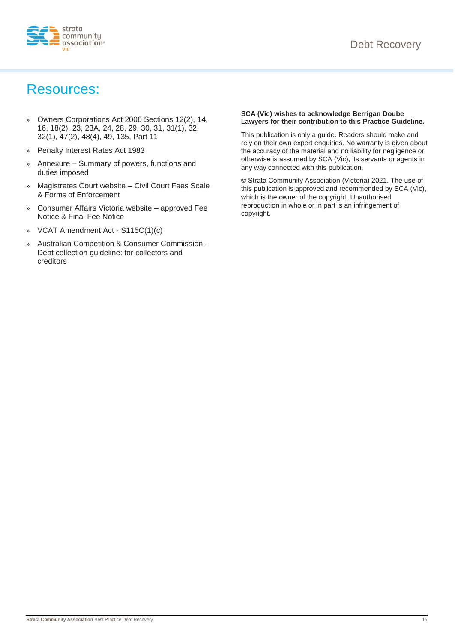

### Resources:

- » Owners Corporations Act 2006 Sections 12(2), 14, 16, 18(2), 23, 23A, 24, 28, 29, 30, 31, 31(1), 32, 32(1), 47(2), 48(4), 49, 135, Part 11
- » Penalty Interest Rates Act 1983
- » Annexure Summary of powers, functions and duties imposed
- » Magistrates Court website Civil Court Fees Scale & Forms of Enforcement
- » Consumer Affairs Victoria website approved Fee Notice & Final Fee Notice
- » VCAT Amendment Act S115C(1)(c)
- » Australian Competition & Consumer Commission Debt collection guideline: for collectors and creditors

#### **SCA (Vic) wishes to acknowledge Berrigan Doube Lawyers for their contribution to this Practice Guideline.**

This publication is only a guide. Readers should make and rely on their own expert enquiries. No warranty is given about the accuracy of the material and no liability for negligence or otherwise is assumed by SCA (Vic), its servants or agents in any way connected with this publication.

© Strata Community Association (Victoria) 2021. The use of this publication is approved and recommended by SCA (Vic), which is the owner of the copyright. Unauthorised reproduction in whole or in part is an infringement of copyright.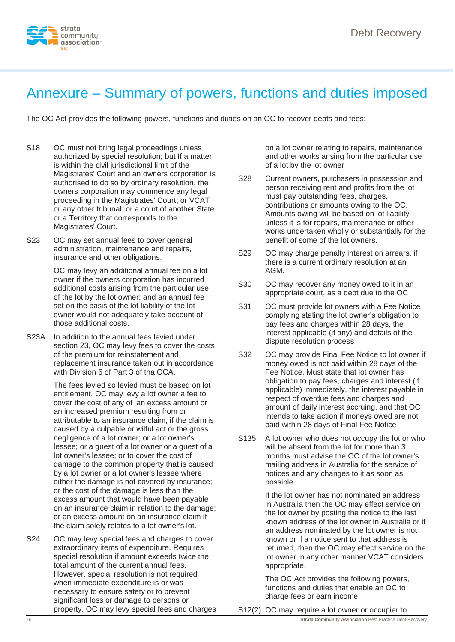

### Annexure – Summary of powers, functions and duties imposed

The OC Act provides the following powers, functions and duties on an OC to recover debts and fees:

- S18 OC must not bring legal proceedings unless authorized by special resolution; but If a matter is within the civil jurisdictional limit of the Magistrates' Court and an owners corporation is authorised to do so by ordinary resolution, the owners corporation may commence any legal proceeding in the Magistrates' Court; or VCAT or any other tribunal; or a court of another State or a Territory that corresponds to the Magistrates' Court.
- S23 OC may set annual fees to cover general administration, maintenance and repairs, insurance and other obligations.

OC may levy an additional annual fee on a lot owner if the owners corporation has incurred additional costs arising from the particular use of the lot by the lot owner; and an annual fee set on the basis of the lot liability of the lot owner would not adequately take account of those additional costs.

S23A In addition to the annual fees levied under section 23, OC may levy fees to cover the costs of the premium for reinstatement and replacement insurance taken out in accordance with Division 6 of Part 3 of tha OCA.

> The fees levied so levied must be based on lot entitlement. OC may levy a lot owner a fee to cover the cost of any of an excess amount or an increased premium resulting from or attributable to an insurance claim, if the claim is caused by a culpable or wilful act or the gross negligence of a lot owner; or a lot owner's lessee; or a guest of a lot owner or a guest of a lot owner's lessee; or to cover the cost of damage to the common property that is caused by a lot owner or a lot owner's lessee where either the damage is not covered by insurance; or the cost of the damage is less than the excess amount that would have been payable on an insurance claim in relation to the damage; or an excess amount on an insurance claim if the claim solely relates to a lot owner's lot.

S24 OC may levy special fees and charges to cover extraordinary items of expenditure. Requires special resolution if amount exceeds twice the total amount of the current annual fees. However, special resolution is not required when immediate expenditure is or was necessary to ensure safety or to prevent significant loss or damage to persons or property. OC may levy special fees and charges

on a lot owner relating to repairs, maintenance and other works arising from the particular use of a lot by the lot owner

- S28 Current owners, purchasers in possession and person receiving rent and profits from the lot must pay outstanding fees, charges, contributions or amounts owing to the OC. Amounts owing will be based on lot liability unless it is for repairs, maintenance or other works undertaken wholly or substantially for the benefit of some of the lot owners.
- S29 OC may charge penalty interest on arrears, if there is a current ordinary resolution at an AGM.
- S30 OC may recover any money owed to it in an appropriate court, as a debt due to the OC
- S31 OC must provide lot owners with a Fee Notice complying stating the lot owner's obligation to pay fees and charges within 28 days, the interest applicable (if any) and details of the dispute resolution process
- S32 OC may provide Final Fee Notice to lot owner if money owed is not paid within 28 days of the Fee Notice. Must state that lot owner has obligation to pay fees, charges and interest (if applicable) immediately, the interest payable in respect of overdue fees and charges and amount of daily interest accruing, and that OC intends to take action if moneys owed are not paid within 28 days of Final Fee Notice
- S135 A lot owner who does not occupy the lot or who will be absent from the lot for more than 3 months must advise the OC of the lot owner's mailing address in Australia for the service of notices and any changes to it as soon as possible.

If the lot owner has not nominated an address in Australia then the OC may effect service on the lot owner by posting the notice to the last known address of the lot owner in Australia or if an address nominated by the lot owner is not known or if a notice sent to that address is returned, then the OC may effect service on the lot owner in any other manner VCAT considers appropriate.

The OC Act provides the following powers, functions and duties that enable an OC to charge fees or earn income.

S12(2) OC may require a lot owner or occupier to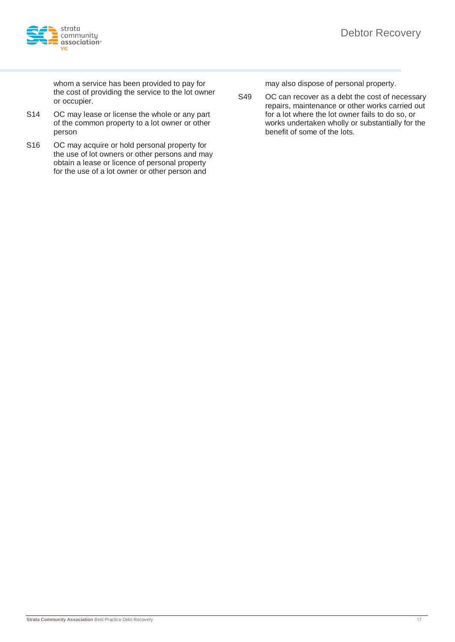

whom a service has been provided to pay for the cost of providing the service to the lot owner or occupier.

- S14 OC may lease or license the whole or any part of the common property to a lot owner or other person
- S16 OC may acquire or hold personal property for the use of lot owners or other persons and may obtain a lease or licence of personal property for the use of a lot owner or other person and

may also dispose of personal property.

S49 OC can recover as a debt the cost of necessary repairs, maintenance or other works carried out for a lot where the lot owner fails to do so, or works undertaken wholly or substantially for the benefit of some of the lots.